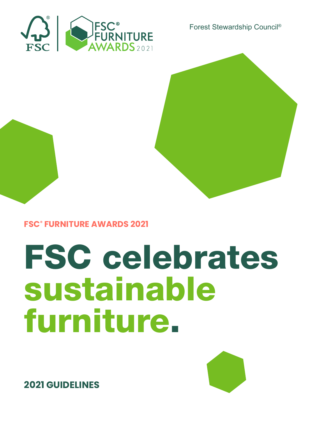

Forest Stewardship Council®



# FSC celebrates sustainable furniture.



**2021 GUIDELINES**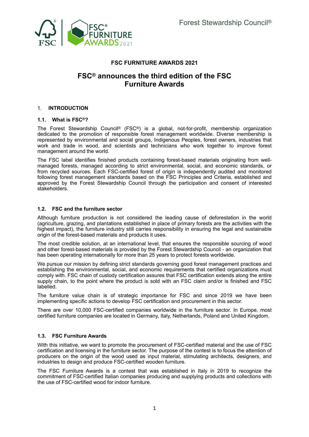

# **FSC FURNITURE AWARDS 2021**

# **FSC® announces the third edition of the FSC Furniture Awards**

#### 1. **INTRODUCTION**

#### **1.1. What is FSC®?**

The Forest Stewardship Council® (FSC®) is a global, not-for-profit, membership organization dedicated to the promotion of responsible forest management worldwide. Diverse membership is represented by environmental and social groups, Indigenous Peoples, forest owners, industries that work and trade in wood, and scientists and technicians who work together to improve forest management around the world.

The FSC label identifies finished products containing forest-based materials originating from wellmanaged forests, managed according to strict environmental, social, and economic standards, or from recycled sources. Each FSC-certified forest of origin is independently audited and monitored following forest management standards based on the FSC Principles and Criteria, established and approved by the Forest Stewardship Council through the participation and consent of interested stakeholders.

#### **1.2. FSC and the furniture sector**

Although furniture production is not considered the leading cause of deforestation in the world (agriculture, grazing, and plantations established in place of primary forests are the activities with the highest impact), the furniture industry still carries responsibility in ensuring the legal and sustainable origin of the forest-based materials and products it uses.

The most credible solution, at an international level, that ensures the responsible sourcing of wood and other forest-based materials is provided by the Forest Stewardship Council - an organization that has been operating internationally for more than 25 years to protect forests worldwide.

We pursue our mission by defining strict standards governing good forest management practices and establishing the environmental, social, and economic requirements that certified organizations must comply with. FSC chain of custody certification assures that FSC certification extends along the entire supply chain, to the point where the product is sold with an FSC claim and/or is finished and FSC labelled.

The furniture value chain is of strategic importance for FSC and since 2019 we have been implementing specific actions to develop FSC certification and procurement in this sector.

There are over 10,000 FSC-certified companies worldwide in the furniture sector. In Europe, most certified furniture companies are located in Germany, Italy, Netherlands, Poland and United Kingdom.

## **1.3. FSC Furniture Awards**

With this initiative, we want to promote the procurement of FSC-certified material and the use of FSC certification and licensing in the furniture sector. The purpose of the contest is to focus the attention of producers on the origin of the wood used as input material, stimulating architects, designers, and industries to design and produce FSC-certified wooden furniture.

The FSC Furniture Awards is a contest that was established in Italy in 2019 to recognize the commitment of FSC-certified Italian companies producing and supplying products and collections with the use of FSC-certified wood for indoor furniture.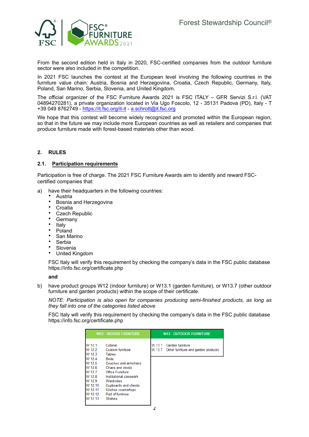

From the second edition held in Italy in 2020, FSC-certified companies from the outdoor furniture sector were also included in the competition.

In 2021 FSC launches the contest at the European level involving the following countries in the furniture value chain: Austria, Bosnia and Herzegovina, Croatia, Czech Republic, Germany, Italy, Poland, San Marino, Serbia, Slovenia, and United Kingdom.

The official organizer of the FSC Furniture Awards 2021 is FSC ITALY - GFR Servizi S.r.l. (VAT 04894270281), a private organization located in Via Ugo Foscolo, 12 - 35131 Padova (PD), Italy - T +39 049 8762749 - https://it.fsc.org/it-it - a.schrott@it.fsc.org

We hope that this contest will become widely recognized and promoted within the European region, so that in the future we may include more European countries as well as retailers and companies that produce furniture made with forest-based materials other than wood.

#### **RULES**  $2<sub>1</sub>$

#### **Participation requirements**  $2.1.$

Participation is free of charge. The 2021 FSC Furniture Awards aim to identify and reward FSCcertified companies that:

- a) have their headquarters in the following countries:
	- **Austria** 
		- Bosnia and Herzegovina
		- **Croatia**
		- **Czech Republic**
	- Germany<br>• Italy
	- Italy<br>• Polo
	- Poland
	- San Marino
	- **Serbia**
	- **Slovenia**
	- United Kingdom

FSC Italy will verify this requirement by checking the company's data in the FSC public database <https://info.fsc.org/certificate.php>

#### **and**

b) have product groups W12 (indoor furniture) or W13.1 (garden furniture), or W13.7 (other outdoor furniture and garden products) within the scope of their certificate.

*NOTE: Participation is also open for companies producing semi-finished products, as long as they fall into one of the categories listed above*

FSC Italy will verify this requirement by checking the company's data in the FSC public database <https://info.fsc.org/certificate.php>

| <b>W12 - INDOOR FURNITURE</b>                                                                                                      |                                                                                                                                                                                                                                                                          | <b>W13 - OUTDOOR FURNITURE</b> |                                                                |
|------------------------------------------------------------------------------------------------------------------------------------|--------------------------------------------------------------------------------------------------------------------------------------------------------------------------------------------------------------------------------------------------------------------------|--------------------------------|----------------------------------------------------------------|
| W 12.1<br>W 12 2<br>W 12.3<br>W 12.4<br>W 12.5<br>W 12 6<br>W 12.7<br>W 12.8<br>W 12.9<br>W 12.10<br>W 12.11<br>W 12.12<br>W 12.13 | Cabinet<br><b>Custom furniture</b><br><b>Tables</b><br><b>Beds</b><br>Couches and armchairs<br>Chairs and stools<br><b>Office Furniture</b><br>Institutional casework<br>Wardrobes<br>Cupboards and chests<br>Kitchen countertops<br>Part of furntirue<br><b>Shelves</b> | W 131                          | Garden furniture<br>W 13.7 Other furniture and garden products |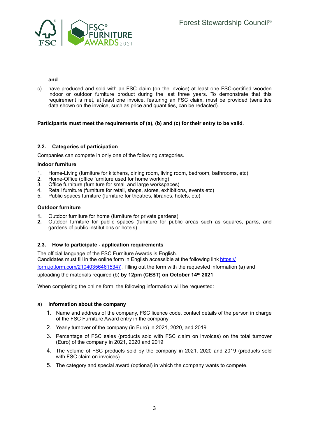

#### **and**

c) have produced and sold with an FSC claim (on the invoice) at least one FSC-certified wooden indoor or outdoor furniture product during the last three years. To demonstrate that this requirement is met, at least one invoice, featuring an FSC claim, must be provided (sensitive data shown on the invoice, such as price and quantities, can be redacted).

#### **Participants must meet the requirements of (a), (b) and (c) for their entry to be valid**.

#### **2.2. Categories of participation**

Companies can compete in only one of the following categories.

#### **Indoor furniture**

- 1. Home-Living (furniture for kitchens, dining room, living room, bedroom, bathrooms, etc)
- 2. Home-Office (office furniture used for home working)
- 3. Office furniture (furniture for small and large workspaces)
- 4. Retail furniture (furniture for retail, shops, stores, exhibitions, events etc)
- 5. Public spaces furniture (furniture for theatres, libraries, hotels, etc)

#### **Outdoor furniture**

- **1.** Outdoor furniture for home (furniture for private gardens)
- **2.** Outdoor furniture for public spaces (furniture for public areas such as squares, parks, and gardens of public institutions or hotels).

#### **2.3. How to participate - application requirements**

The official language of the FSC Furniture Awards is English. Candidates must fill in the online form in English accessible at the following link [https://](https://form.jotform.com/210403564615347) [form.jotform.com/210403564615347](https://form.jotform.com/210403564615347) , filling out the form with the requested information (a) and uploading the materials required (b) **by 12pm (CEST) on October 14th 2021**.

When completing the online form, the following information will be requested:

#### a) **Information about the company**

- 1. Name and address of the company, FSC licence code, contact details of the person in charge of the FSC Furniture Award entry in the company
- 2. Yearly turnover of the company (in Euro) in 2021, 2020, and 2019
- 3. Percentage of FSC sales (products sold with FSC claim on invoices) on the total turnover (Euro) of the company in 2021, 2020 and 2019
- 4. The volume of FSC products sold by the company in 2021, 2020 and 2019 (products sold with FSC claim on invoices)
- 5. The category and special award (optional) in which the company wants to compete.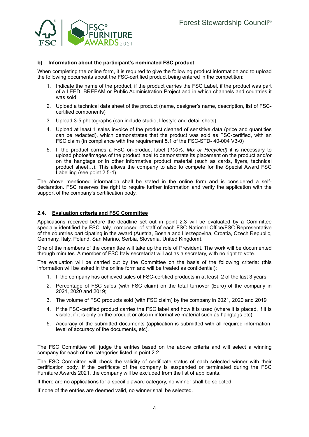

#### **b) Information about the participant's nominated FSC product**

When completing the online form, it is required to give the following product information and to upload the following documents about the FSC-certified product being entered in the competition:

- 1. Indicate the name of the product, if the product carries the FSC Label, if the product was part of a LEED, BREEAM or Public Administration Project and in which channels and countries it was sold
- 2. Upload a technical data sheet of the product (name, designer's name, description, list of FSCcertified components)
- 3. Upload 3-5 photographs (can include studio, lifestyle and detail shots)
- 4. Upload at least 1 sales invoice of the product cleaned of sensitive data (price and quantities can be redacted), which demonstrates that the product was sold as FSC-certified, with an FSC claim (in compliance with the requirement 5.1 of the FSC-STD- 40-004 V3-0)
- 5. If the product carries a FSC on-product label (*100%, Mix or Recycled)* it is necessary to upload photos/images of the product label to demonstrate its placement on the product and/or on the hangtags or in other informative product material (such as cards, flyers, technical product sheet…). This allows the company to also to compete for the Special Award FSC Labelling (see point 2.5-4).

The above mentioned information shall be stated in the online form and is considered a selfdeclaration. FSC reserves the right to require further information and verify the application with the support of the company's certification body.

#### **2.4. Evaluation criteria and FSC Committee**

Applications received before the deadline set out in point 2.3 will be evaluated by a Committee specially identified by FSC Italy, composed of staff of each FSC National Office/FSC Representative of the countries participating in the award (Austria, Bosnia and Herzegovina, Croatia, Czech Republic, Germany, Italy, Poland, San Marino, Serbia, Slovenia, United Kingdom).

One of the members of the committee will take up the role of President. The work will be documented through minutes. A member of FSC Italy secretariat will act as a secretary, with no right to vote.

The evaluation will be carried out by the Committee on the basis of the following criteria: (this information will be asked in the online form and will be treated as confidential):

- 1. If the company has achieved sales of FSC-certified products in at least 2 of the last 3 years
- 2. Percentage of FSC sales (with FSC claim) on the total turnover (Euro) of the company in 2021, 2020 and 2019;
- 3. The volume of FSC products sold (with FSC claim) by the company in 2021, 2020 and 2019
- 4. If the FSC-certified product carries the FSC label and how it is used (where it is placed, if it is visible, if it is only on the product or also in informative material such as hangtags etc)
- 5. Accuracy of the submitted documents (application is submitted with all required information, level of accuracy of the documents, etc).

The FSC Committee will judge the entries based on the above criteria and will select a winning company for each of the categories listed in point 2.2.

The FSC Committee will check the validity of certificate status of each selected winner with their certification body. If the certificate of the company is suspended or terminated during the FSC Furniture Awards 2021, the company will be excluded from the list of applicants.

If there are no applications for a specific award category, no winner shall be selected.

If none of the entries are deemed valid, no winner shall be selected.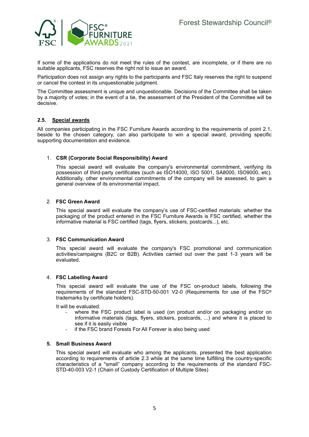

If some of the applications do not meet the rules of the contest, are incomplete, or if there are no suitable applicants, FSC reserves the right not to issue an award.

Participation does not assign any rights to the participants and FSC Italy reserves the right to suspend or cancel the contest in its unquestionable judgment.

The Committee assessment is unique and unquestionable. Decisions of the Committee shall be taken by a majority of votes; in the event of a tie, the assessment of the President of the Committee will be decisive.

#### **2.5. Special awards**

All companies participating in the FSC Furniture Awards according to the requirements of point 2.1, beside to the chosen category, can also participate to win a special award, providing specific supporting documentation and evidence.

#### 1. **CSR (Corporate Social Responsibility) Award**

This special award will evaluate the company's environmental commitment, verifying its possession of third-party certificates (such as ISO14000, ISO 5001, SA8000, ISO9000, etc). Additionally, other environmental commitments of the company will be assessed, to gain a general overview of its environmental impact.

#### 2. **FSC Green Award**

This special award will evaluate the company's use of FSC-certified materials: whether the packaging of the product entered in the FSC Furniture Awards is FSC certified, whether the informative material is FSC certified (tags, flyers, stickers, postcards...), etc.

#### 3. **FSC Communication Award**

This special award will evaluate the company's FSC promotional and communication activities/campaigns (B2C or B2B). Activities carried out over the past 1-3 years will be evaluated.

#### 4. **FSC Labelling Award**

This special award will evaluate the use of the FSC on-product labels, following the requirements of the standard FSC-STD-50-001 V2-0 (Requirements for use of the FSC® trademarks by certificate holders).

It will be evaluated:

- where the FSC product label is used (on product and/or on packaging and/or on informative materials (tags, flyers, stickers, postcards, ...) and where it is placed to see if it is easily visible
- if the FSC brand Forests For All Forever is also being used

#### **5. Small Business Award**

This special award will evaluate who among the applicants, presented the best application according to requirements of article 2.3 while at the same time fulfilling the country-specific characteristics of a "small" company according to the requirements of the standard FSC-STD-40-003 V2-1 (Chain of Custody Certification of Multiple Sites)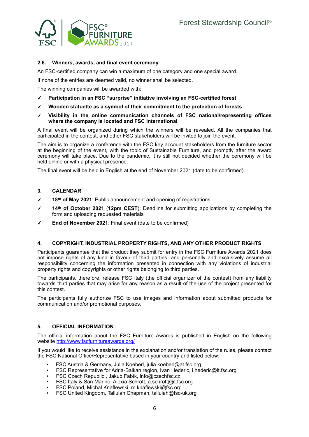

## **2.6. Winners, awards, and final event ceremony**

An FSC-certified company can win a maximum of one category and one special award.

If none of the entries are deemed valid, no winner shall be selected.

The winning companies will be awarded with:

- ✓ **Participation in an FSC "surprise" initiative involving an FSC-certified forest**
- ✓ **Wooden statuette as a symbol of their commitment to the protection of forests**
- ✓ **Visibility in the online communication channels of FSC national/representing offices where the company is located and FSC International**

A final event will be organized during which the winners will be revealed. All the companies that participated in the contest, and other FSC stakeholders will be invited to join the event.

The aim is to organize a conference with the FSC key account stakeholders from the furniture sector at the beginning of the event, with the topic of Sustainable Furniture, and promptly after the award ceremony will take place. Due to the pandemic, it is still not decided whether the ceremony will be held online or with a physical presence.

The final event will be held in English at the end of November 2021 (date to be confirmed).

#### **3. CALENDAR**

- 18<sup>th</sup> of May 2021: Public announcement and opening of registrations
- 14<sup>th</sup> of October 2021 (12pm CEST): Deadline for submitting applications by completing the form and uploading requested materials
- ✓ **End of November 2021**: Final event (date to be confirmed)

#### **4. COPYRIGHT, INDUSTRIAL PROPERTY RIGHTS, AND ANY OTHER PRODUCT RIGHTS**

Participants guarantee that the product they submit for entry in the FSC Furniture Awards 2021 does not impose rights of any kind in favour of third parties, and personally and exclusively assume all responsibility concerning the information presented in connection with any violations of industrial property rights and copyrights or other rights belonging to third parties.

The participants, therefore, release FSC Italy (the official organizer of the contest) from any liability towards third parties that may arise for any reason as a result of the use of the project presented for this contest.

The participants fully authorize FSC to use images and information about submitted products for communication and/or promotional purposes.

#### **5. OFFICIAL INFORMATION**

The official information about the FSC Furniture Awards is published in English on the following website <http://www.fscfurnitureawards.org/>

If you would like to receive assistance in the explanation and/or translation of the rules, please contact the FSC National Office/Representative based in your country and listed below:

- FSC Austria & Germany, Julia Koeberl, julia.koeberl@at.fsc.org
- FSC Representative for Adria-Balkan region, Ivan Hederic, i.hederic@it.fsc.org
- FSC Czech Republic , Jakub Fabík, info@czechfsc.cz
- FSC Italy & San Marino, Alexia Schrott, a.schrott@it.fsc.org
- FSC Poland, Michał Knaflewski, m.knaflewski@fsc.org
- FSC United Kingdom, Tallulah Chapman, tallulah@fsc-uk.org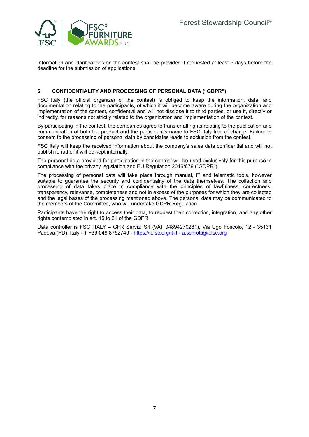

Information and clarifications on the contest shall be provided if requested at least 5 days before the deadline for the submission of applications.

#### **6. CONFIDENTIALITY AND PROCESSING OF PERSONAL DATA ("GDPR")**

FSC Italy (the official organizer of the contest) is obliged to keep the information, data, and documentation relating to the participants, of which it will become aware during the organization and implementation of the contest, confidential and will not disclose it to third parties, or use it, directly or indirectly, for reasons not strictly related to the organization and implementation of the contest.

By participating in the contest, the companies agree to transfer all rights relating to the publication and communication of both the product and the participant's name to FSC Italy free of charge. Failure to consent to the processing of personal data by candidates leads to exclusion from the contest.

FSC Italy will keep the received information about the company's sales data confidential and will not publish it, rather it will be kept internally.

The personal data provided for participation in the contest will be used exclusively for this purpose in compliance with the privacy legislation and EU Regulation 2016/679 ("GDPR").

The processing of personal data will take place through manual, IT and telematic tools, however suitable to guarantee the security and confidentiality of the data themselves. The collection and processing of data takes place in compliance with the principles of lawfulness, correctness, transparency, relevance, completeness and not in excess of the purposes for which they are collected and the legal bases of the processing mentioned above. The personal data may be communicated to the members of the Committee, who will undertake GDPR Regulation.

Participants have the right to access their data, to request their correction, integration, and any other rights contemplated in art. 15 to 21 of the GDPR.

Data controller is FSC ITALY – GFR Servizi Srl (VAT 04894270281), Via Ugo Foscolo, 12 - 35131 Padova (PD), Italy - T +39 049 8762749 - <https://it.fsc.org/it-it>- a.schrott@it.fsc.org